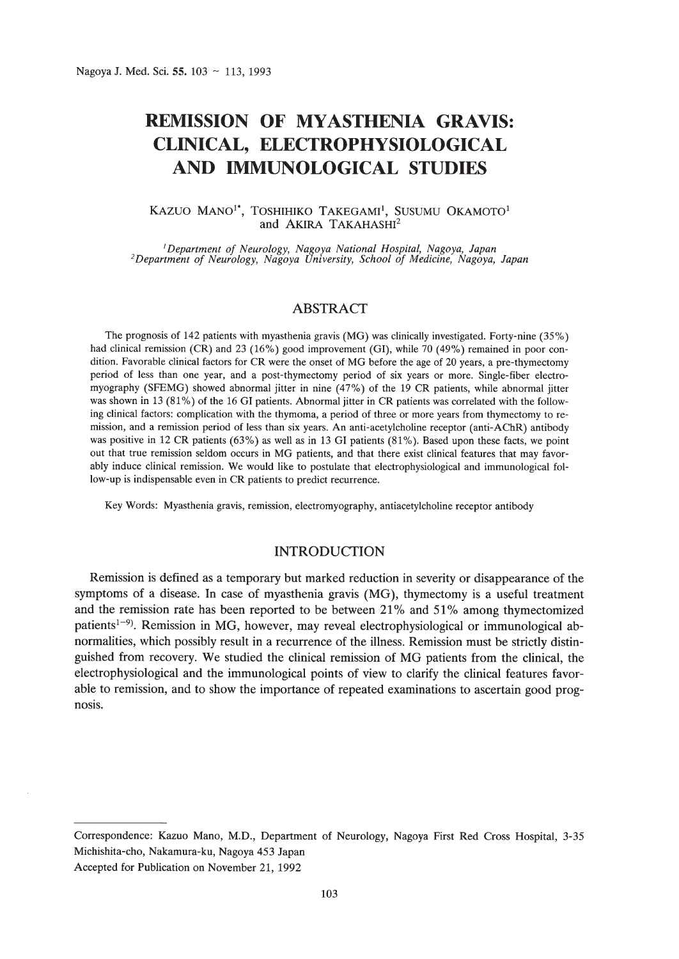# **REMISSION OF MYASTHENIA GRAVIS: CLINICAL, ELECTROPHYSIOLOGICAL AND IMMUNOLOGICAL STUDIES**

#### KAZUO MANO<sup>i</sup>", TOSHIHIKO TAKEGAMI<sup>1</sup>, SUSUMU OKAMOTO<sup>1</sup> and AKIRA TAKAHASHI<sup>2</sup>

<sup>I</sup> *Department of Neurology, Nagoya National Hospital, Nagoya, Japan 2Department of Neurology, Nagoya University, School of Medicine, Nagoya, Japan*

# ABSTRACT

The prognosis of 142 patients with myasthenia gravis (MG) was clinically investigated. Forty-nine (35%) had clinical remission (CR) and 23 (16%) good improvement (GI), while 70 (49%) remained in poor condition. Favorable clinical factors for CR were the onset of MG before the age of 20 years, a pre-thymectomy period of less than one year, and a post-thymectomy period of six years or more. Single-fiber electromyography (SFEMG) showed abnormal jitter in nine (47%) of the 19 CR patients, while abnormal jitter was shown in 13 (81%) of the 16 GJ patients. Abnormal jitter in CR patients was correlated with the following clinical factors: complication with the thymoma, a period of three or more years from thymectomy to remission, and a remission period of less than six years. An anti-acetylcholine receptor (anti-AChR) antibody was positive in 12 CR patients (63%) as well as in 13 GI patients (81%). Based upon these facts, we point out that true remission seldom occurs in MG patients, and that there exist clinical features that may favorably induce clinical remission. We would like to postulate that electrophysiological and immunological follow-up is indispensable even in CR patients to predict recurrence.

Key Words: Myasthenia gravis, remission, electromyography, antiacetylcholine receptor antibody

## INTRODUCTION

Remission is defined as a temporary but marked reduction in severity or disappearance of the symptoms of a disease. In case of myasthenia gravis (MG), thymectomy is a useful treatment and the remission rate has been reported to be between 21% and 51% among thymectomized patients<sup>1–9)</sup>. Remission in MG, however, may reveal electrophysiological or immunological abnormalities, which possibly result in a recurrence of the illness. Remission must be strictly distinguished from recovery. We studied the clinical remission of MG patients from the clinical, the electrophysiological and the immunological points of view to clarify the clinical features favorable to remission, and to show the importance of repeated examinations to ascertain good prognosis.

Correspondence: Kazuo Mano, M.D., Department of Neurology, Nagoya First Red Cross Hospital, 3-35 Michishita-cho, Nakamura-ku, Nagoya 453 Japan

Accepted for Publication on November 21, 1992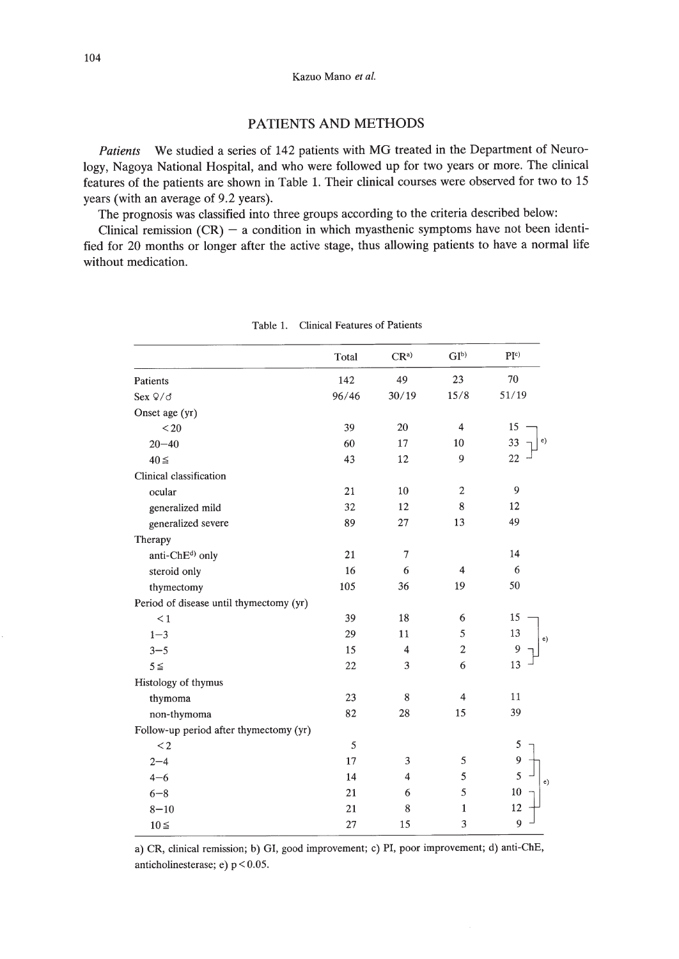# PATIENTS AND METHODS

*Patients* We studied a series of 142 patients with MG treated in the Department of Neurology, Nagoya National Hospital, and who were followed up for two years or more. The clinical features of the patients are shown in Table 1. Their clinical courses were observed for two to 15 years (with an average of 9.2 years).

The prognosis was classified into three groups according to the criteria described below:

Clinical remission  $(CR)$  - a condition in which myasthenic symptoms have not been identified for 20 months or longer after the active stage, thus allowing patients to have a normal life without medication.

|                                         | Total | $CR^a$         | GI <sub>p</sub> | PI <sup>c</sup>   |
|-----------------------------------------|-------|----------------|-----------------|-------------------|
| Patients                                | 142   | 49             | 23              | 70                |
| Sex $9/6$                               | 96/46 | 30/19          | 15/8            | 51/19             |
| Onset age (yr)                          |       |                |                 |                   |
| $20$                                    | 39    | 20             | $\overline{4}$  | 15                |
| $20 - 40$                               | 60    | 17             | 10              | e)<br>33          |
| $40 \leq$                               | 43    | 12             | 9               | 22                |
| Clinical classification                 |       |                |                 |                   |
| ocular                                  | 21    | 10             | $\overline{2}$  | 9                 |
| generalized mild                        | 32    | 12             | 8               | 12                |
| generalized severe                      | 89    | 27             | 13              | 49                |
| Therapy                                 |       |                |                 |                   |
| anti-ChE <sup>d</sup> ) only            | 21    | $\overline{7}$ |                 | 14                |
| steroid only                            | 16    | 6              | $\overline{4}$  | 6                 |
| thymectomy                              | 105   | 36             | 19              | 50                |
| Period of disease until thymectomy (yr) |       |                |                 |                   |
| $\leq 1$                                | 39    | 18             | 6               | 15                |
| $1 - 3$                                 | 29    | 11             | 5               | 13<br>e)          |
| $3 - 5$                                 | 15    | $\overline{4}$ | $\overline{2}$  | 9                 |
| $5 \leq$                                | 22    | 3              | 6               | 13                |
| Histology of thymus                     |       |                |                 |                   |
| thymoma                                 | 23    | 8              | $\overline{4}$  | 11                |
| non-thymoma                             | 82    | 28             | 15              | 39                |
| Follow-up period after thymectomy (yr)  |       |                |                 |                   |
| $\leq$ 2                                | 5     |                |                 | 5                 |
| $2 - 4$                                 | 17    | 3              | 5               | $\overline{9}$    |
| $4 - 6$                                 | 14    | $\overline{4}$ | 5               | 5<br>$\epsilon$ ) |
| $6 - 8$                                 | 21    | 6              | 5               | 10                |
| $8 - 10$                                | 21    | 8              | $\mathbf{1}$    | 12                |
| $10 \leq$                               | 27    | 15             | 3               | 9                 |

Table 1. Clinical Features of Patients

a) CR, clinical remission; b) GI, good improvement; c) PI, poor improvement; d) anti-ChE, anticholinesterase; e) p < 0.05.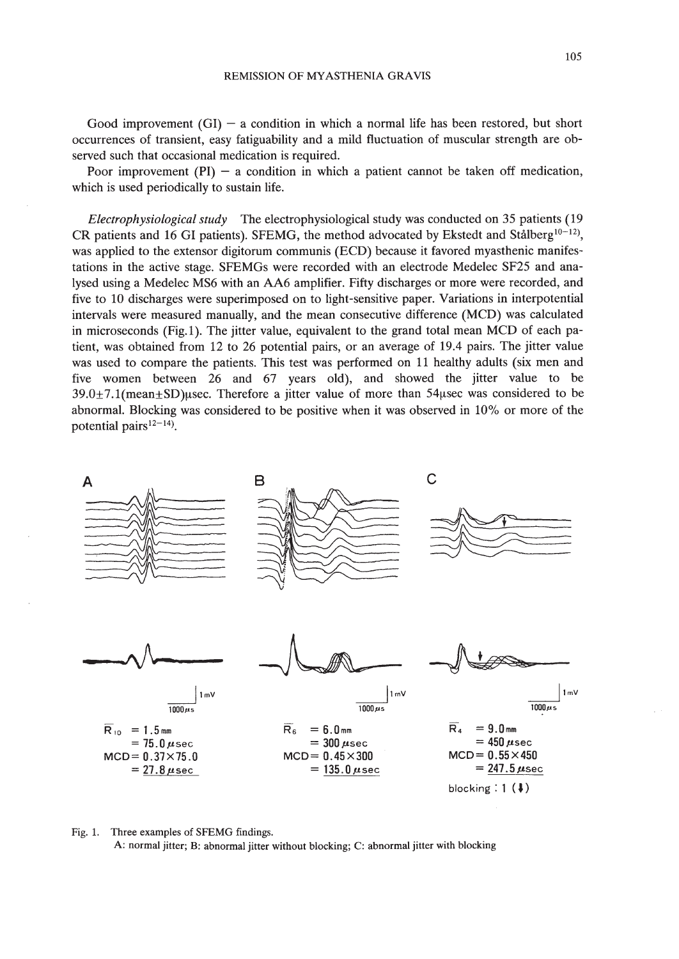Good improvement  $(GI)$  – a condition in which a normal life has been restored, but short occurrences of transient, easy fatiguability and a mild fluctuation of muscular strength are observed such that occasional medication is required.

Poor improvement  $(PI)$  – a condition in which a patient cannot be taken off medication, which is used periodically to sustain life.

*Electrophysiological study* The electrophysiological study was conducted on 35 patients (19 CR patients and 16 GI patients). SFEMG, the method advocated by Ekstedt and Stålberg<sup>10-12</sup>, was applied to the extensor digitorum communis (ECD) because it favored myasthenic manifestations in the active stage. SFEMGs were recorded with an electrode Medelec SF25 and analysed using a Medelec MS6 with an AA6 amplifier. Fifty discharges or more were recorded, and five to 10 discharges were superimposed on to light-sensitive paper. Variations in interpotential intervals were measured manually, and the mean consecutive difference (MCD) was calculated in microseconds (Fig. 1). The jitter value, equivalent to the grand total mean MCD of each patient, was obtained from 12 to 26 potential pairs, or an average of 19.4 pairs. The jitter value was used to compare the patients. This test was performed on 11 healthy adults (six men and five women between 26 and 67 years old), and showed the jitter value to be  $39.0 \pm 7.1$ (mean $\pm$ SD) usec. Therefore a jitter value of more than 54 usec was considered to be abnormal. Blocking was considered to be positive when it was observed in 10% or more of the potential pairs $12-14$ ).



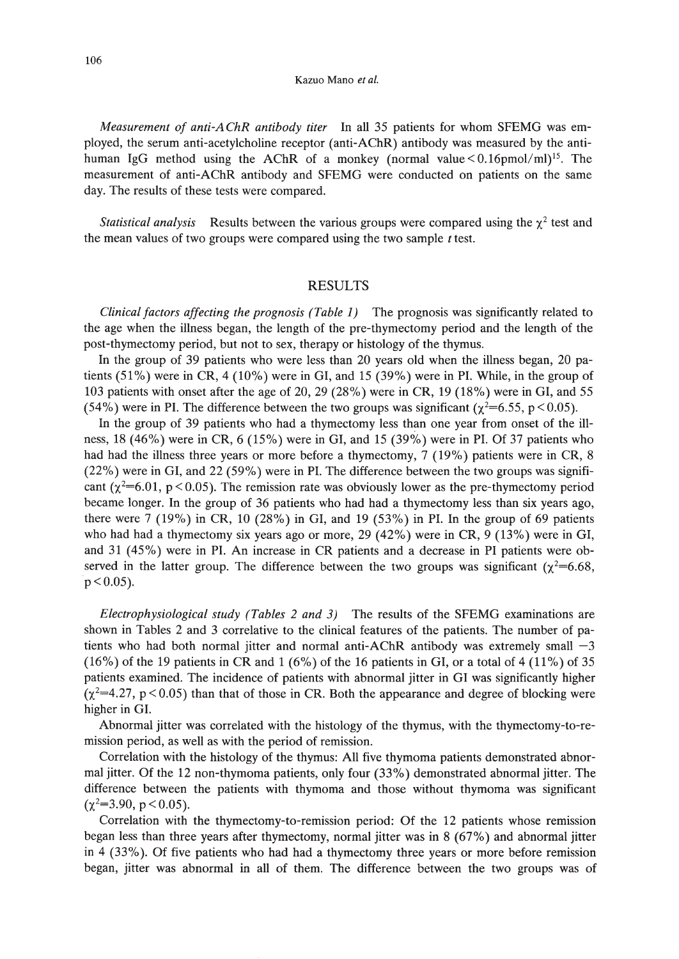#### Kazuo Mano *et al.*

*Measurement of anti-AChR antibody titer* In all 35 patients for whom SFEMG was employed, the serum anti-acetylcholine receptor (anti-AChR) antibody was measured by the antihuman IgG method using the AChR of a monkey (normal value  $< 0.16$ pmol/ml)<sup>15</sup>. The measurement of anti-AChR antibody and SFEMG were conducted on patients on the same day. The results of these tests were compared.

*Statistical analysis* Results between the various groups were compared using the  $\chi^2$  test and the mean values of two groups were compared using the two sample *t* test.

# RESULTS

*Clinical factors affecting the prognosis (Table* 1) The prognosis was significantly related to the age when the illness began, the length of the pre-thymectomy period and the length of the post-thymectomy period, but not to sex, therapy or histology of the thymus.

In the group of 39 patients who were less than 20 years old when the illness began, 20 patients  $(51\%)$  were in CR, 4 (10%) were in GI, and 15 (39%) were in PI. While, in the group of 103 patients with onset after the age of 20, 29 (28%) were in CR, 19 (18%) were in GI, and 55 (54%) were in PI. The difference between the two groups was significant ( $\chi^2$ =6.55, p < 0.05).

In the group of 39 patients who had a thymectomy less than one year from onset of the illness,  $18 (46%)$  were in CR,  $6 (15%)$  were in GI, and  $15 (39%)$  were in PI. Of 37 patients who had had the illness three years or more before a thymectomy, 7 (19%) patients were in CR, 8 (22%) were in GI, and 22 (59%) were in PI. The difference between the two groups was significant ( $\chi^2$ =6.01, p < 0.05). The remission rate was obviously lower as the pre-thymectomy period became longer. In the group of 36 patients who had had a thymectomy less than six years ago, there were 7 (19%) in CR, 10 (28%) in GI, and 19 (53%) in PI. In the group of 69 patients who had had a thymectomy six years ago or more, 29 (42%) were in CR, 9 (13%) were in GI, and 31 (45 %) were in PI. An increase in CR patients and a decrease in PI patients were observed in the latter group. The difference between the two groups was significant  $(\chi^2=6.68,$  $p < 0.05$ ).

*Electrophysiological study (Tables* 2 *and* 3) The results of the SFEMG examinations are shown in Tables 2 and 3 correlative to the clinical features of the patients. The number of patients who had both normal jitter and normal anti-AChR antibody was extremely small  $-3$  $(16%)$  of the 19 patients in CR and 1 (6%) of the 16 patients in GI, or a total of 4 (11%) of 35 patients examined. The incidence of patients with abnormal jitter in GI was significantly higher  $(\chi^2=4.27, p<0.05)$  than that of those in CR. Both the appearance and degree of blocking were higher in GI.

Abnormal jitter was correlated with the histology of the thymus, with the thymectomy-to-remission period, as well as with the period of remission.

Correlation with the histology of the thymus: All five thymoma patients demonstrated abnormal jitter. Of the 12 non-thymoma patients, only four (33%) demonstrated abnormal jitter. The difference between the patients with thymoma and those without thymoma was significant  $(\chi^2 = 3.90, p < 0.05)$ .

Correlation with the thymectomy-to-remission period: Of the 12 patients whose remission began less than three years after thymectomy, normal jitter was in 8 (67%) and abnormal jitter in 4 (33%). Of five patients who had had a thymectomy three years or more before remission began, jitter was abnormal in all of them. The difference between the two groups was of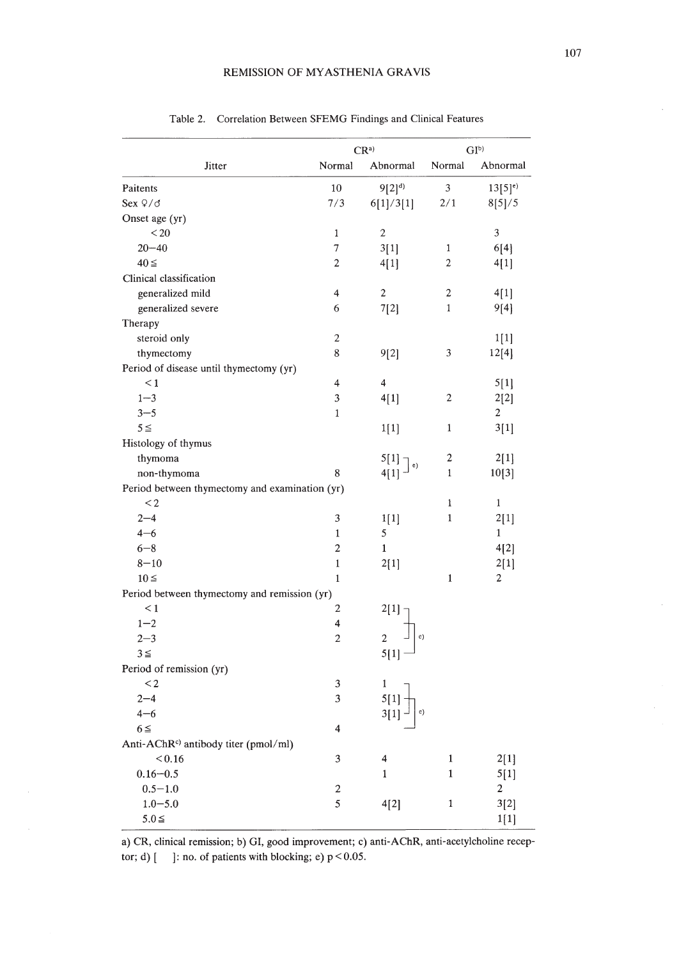| Jitter                                            | $CR^a$           |                  | GI <sub>p</sub>  |                         |
|---------------------------------------------------|------------------|------------------|------------------|-------------------------|
|                                                   | Normal           | Abnormal         | Normal           | Abnormal                |
| Paitents                                          | 10               | $9[2]^{d}$       | 3                | $13[5]$ <sup>e)</sup>   |
| Sex $9/6$                                         | 7/3              | 6[1]/3[1]        | 2/1              | 8[5]/5                  |
| Onset age (yr)                                    |                  |                  |                  |                         |
| < 20                                              | $\mathbf{1}$     | $\mathbf{2}$     |                  | $\mathfrak{Z}$          |
| $20 - 40$                                         | 7                | 3[1]             | $\mathbf{1}$     | 6[4]                    |
| $40 \leq$                                         | 2                | 4[1]             | $\boldsymbol{2}$ | 4[1]                    |
| Clinical classification                           |                  |                  |                  |                         |
| generalized mild                                  | 4                | $\boldsymbol{2}$ | 2                | 4[1]                    |
| generalized severe                                | 6                | 7[2]             | 1                | 9[4]                    |
| Therapy                                           |                  |                  |                  |                         |
| steroid only                                      | 2                |                  |                  | 1[1]                    |
| thymectomy                                        | 8                | 9[2]             | 3                | 12[4]                   |
| Period of disease until thymectomy (yr)           |                  |                  |                  |                         |
| $\leq 1$                                          | 4                | $\overline{4}$   |                  | 5[1]                    |
| $1 - 3$                                           | 3                | 4[1]             | 2                | 2[2]                    |
| $3 - 5$                                           | $\mathbf{1}$     |                  |                  | $\overline{c}$          |
| $5 \leq$                                          |                  | 1[1]             | 1                | 3[1]                    |
| Histology of thymus                               |                  |                  |                  |                         |
| thymoma                                           |                  | 5[1]             | $\boldsymbol{2}$ | 2[1]                    |
| non-thymoma                                       | 8                | e)<br>4[1]       | $\mathbf{1}$     | 10[3]                   |
| Period between thymectomy and examination (yr)    |                  |                  |                  |                         |
| $\leq$ 2                                          |                  |                  | $\mathbf 1$      | $\mathbf{1}$            |
| $2 - 4$                                           | 3                | 1[1]             | $\mathbf{1}$     | 2[1]                    |
| $4 - 6$                                           | $\mathbf{1}$     | 5                |                  | $\mathbf{1}$            |
| $6 - 8$                                           | $\mathbf{2}$     | $\mathbf{1}$     |                  | 4[2]                    |
| $8 - 10$                                          | $\mathbf{1}$     | 2[1]             |                  | 2[1]                    |
| $10 \leq$                                         | $\mathbf{1}$     |                  | $\mathbf{1}$     | 2                       |
| Period between thymectomy and remission (yr)      |                  |                  |                  |                         |
| $\leq 1$                                          | 2                |                  |                  |                         |
| $1 - 2$                                           | 4                | 2[1]             |                  |                         |
| $2 - 3$                                           | $\overline{c}$   | c)               |                  |                         |
| $3 \leq$                                          |                  | 5[1]             |                  |                         |
|                                                   |                  |                  |                  |                         |
| Period of remission (yr)<br>$\leq$ 2              | 3                |                  |                  |                         |
|                                                   | 3                | 1                |                  |                         |
| $2 - 4$                                           |                  | e)               |                  |                         |
| $4 - 6$                                           |                  | 3[1]             |                  |                         |
| $6 \leq$                                          | 4                |                  |                  |                         |
| Anti-AChR <sup>c</sup> ) antibody titer (pmol/ml) |                  |                  |                  |                         |
| < 0.16                                            | 3                | 4                | $\,1$            | 2[1]                    |
| $0.16 - 0.5$                                      |                  | 1                | $\mathbf{1}$     | 5[1]                    |
| $0.5 - 1.0$                                       | $\boldsymbol{2}$ |                  |                  | $\overline{\mathbf{c}}$ |
| $1.0 - 5.0$                                       | 5                | 4[2]             | $\,1$            | 3[2]                    |
| $5.0 \leq$                                        |                  |                  |                  | 1[1]                    |

Table 2. Correlation Between SFEMG Findings and Clinical Features

a) CR, clinical remission; b) GI, good improvement; c) anti-AChR, anti-acetylcholine receptor; d)  $[$  ]: no. of patients with blocking; e)  $p < 0.05$ .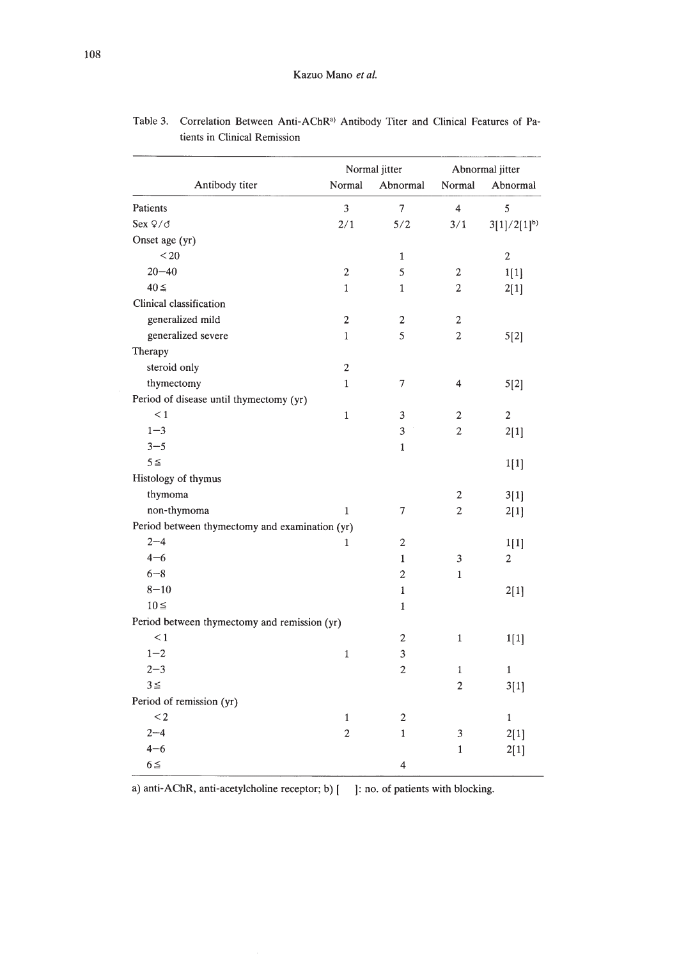| Antibody titer                                 | Normal jitter  |                | Abnormal jitter         |                 |
|------------------------------------------------|----------------|----------------|-------------------------|-----------------|
|                                                | Normal         | Abnormal       | Normal                  | Abnormal        |
| Patients                                       | 3              | $\overline{7}$ | $\overline{4}$          | 5               |
| Sex $9/6$                                      | 2/1            | 5/2            | 3/1                     | $3[1]/2[1]^{b}$ |
| Onset age (yr)                                 |                |                |                         |                 |
| $20$                                           |                | $\mathbf{1}$   |                         | $\overline{2}$  |
| $20 - 40$                                      | $\overline{c}$ | 5              | 2                       | 1[1]            |
| $40 \leq$                                      | $\mathbf{1}$   | $\mathbf{1}$   | $\overline{c}$          | 2[1]            |
| Clinical classification                        |                |                |                         |                 |
| generalized mild                               | $\overline{2}$ | $\overline{2}$ | $\overline{c}$          |                 |
| generalized severe                             | $\mathbf{1}$   | 5              | $\overline{2}$          | 5[2]            |
| Therapy                                        |                |                |                         |                 |
| steroid only                                   | $\overline{c}$ |                |                         |                 |
| thymectomy                                     | $\mathbf{1}$   | 7              | $\overline{\mathbf{4}}$ | 5[2]            |
| Period of disease until thymectomy (yr)        |                |                |                         |                 |
| $\leq 1$                                       | $\mathbf{1}$   | 3              | $\overline{c}$          | $\overline{c}$  |
| $1 - 3$                                        |                | 3              | $\overline{2}$          | 2[1]            |
| $3 - 5$                                        |                | $\mathbf{1}$   |                         |                 |
| $5 \leq$                                       |                |                |                         | 1[1]            |
| Histology of thymus                            |                |                |                         |                 |
| thymoma                                        |                |                | 2                       | 3[1]            |
| non-thymoma                                    | $\mathbf{1}$   | 7              | $\overline{2}$          | 2[1]            |
| Period between thymectomy and examination (yr) |                |                |                         |                 |
| $2 - 4$                                        | 1              | $\overline{2}$ |                         | 1[1]            |
| $4 - 6$                                        |                | $\mathbf{1}$   | 3                       | 2               |
| $6 - 8$                                        |                | $\overline{c}$ | $\mathbf{1}$            |                 |
| $8 - 10$                                       |                | $\mathbf{1}$   |                         | 2[1]            |
| $10 \leq$                                      |                | $\mathbf{1}$   |                         |                 |
| Period between thymectomy and remission (yr)   |                |                |                         |                 |
| $\leq 1$                                       |                | $\mathbf 2$    | 1                       | 1[1]            |
| $1 - 2$                                        | $\mathbf 1$    | 3              |                         |                 |
| $2 - 3$                                        |                | $\mathfrak{D}$ | $\mathbf{1}$            | $\mathbf{1}$    |
| $3 \leq$                                       |                |                | $\overline{c}$          | 3[1]            |
| Period of remission (yr)                       |                |                |                         |                 |
| $\lt 2$                                        | $\mathbf{1}$   | $\overline{c}$ |                         | $\mathbf{1}$    |
| $2 - 4$                                        | $\overline{c}$ | $\mathbf{1}$   | 3                       | 2[1]            |
| $4 - 6$                                        |                |                | $\mathbf{1}$            | 2[1]            |
| $6 \leq$                                       |                | 4              |                         |                 |

Table 3. Correlation Between Anti-AChR') Antibody Titer and Clinical Features of Patients in Clinical Remission

a) anti-AChR, anti-acetylcholine receptor; b) [ ]: no. of patients with blocking.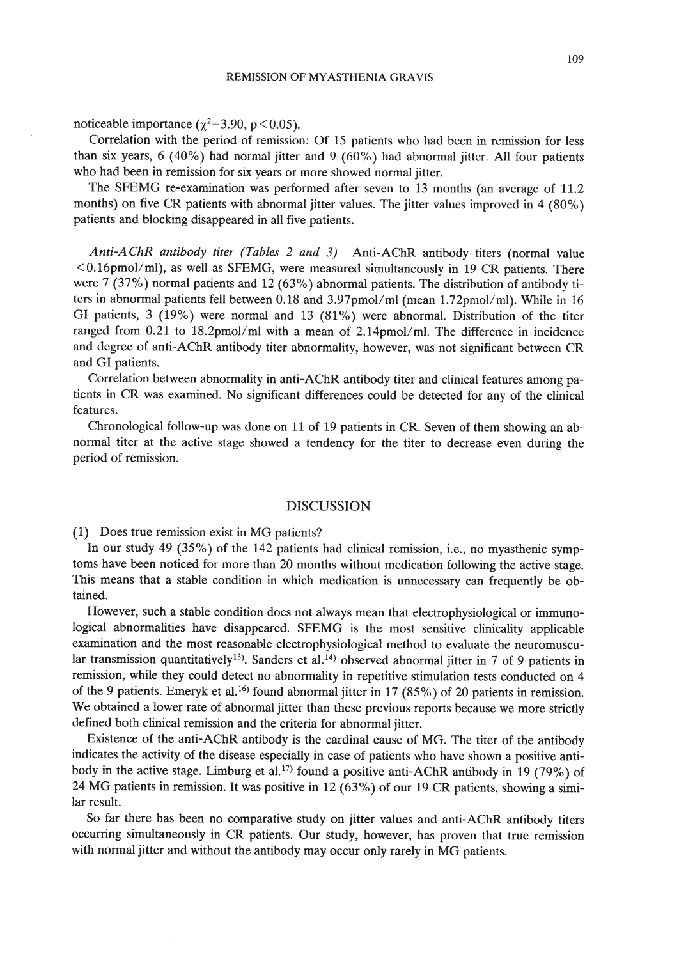noticeable importance  $(\chi^2=3.90, p<0.05)$ .

Correlation with the period of remission: Of 15 patients who had been in remission for less than six years, 6 (40%) had normal jitter and 9 (60%) had abnormal jitter. All four patients who had been in remission for six years or more showed normal jitter.

The SFEMG re-examination was performed after seven to 13 months (an average of 11.2 months) on five CR patients with abnormal jitter values. The jitter values improved in 4 (80%) patients and blocking disappeared in all five patients.

*Anti-AChR antibody titer (Tables* 2 *and* 3) Anti-AChR antibody titers (normal value  $<$  0.16pmol/ml), as well as SFEMG, were measured simultaneously in 19 CR patients. There were 7 (37%) normal patients and 12 (63%) abnormal patients. The distribution of antibody titers in abnormal patients fell between 0.18 and 3.97pmol/ml (mean 1.72pmol/ml). While in 16 GI patients, 3 (19%) were normal and 13 (81%) were abnormal. Distribution of the titer ranged from 0.21 to 18.2pmol/ml with a mean of  $2.14$ pmol/ml. The difference in incidence and degree of anti-AChR antibody titer abnormality, however, was not significant between CR and GI patients.

Correlation between abnormality in anti-AChR antibody titer and clinical features among patients in CR was examined. No significant differences could be detected for any of the clinical features.

Chronological follow-up was done on 11 of 19 patients in CR. Seven of them showing an abnormal titer at the active stage showed a tendency for the titer to decrease even during the period of remission.

## DISCUSSION

(1) Does true remission exist in MG patients?

In our study 49 (35%) of the 142 patients had clinical remission, i.e., no myasthenic symptoms have been noticed for more than 20 months without medication following the active stage. This means that a stable condition in which medication is unnecessary can frequently be obtained.

However, such a stable condition does not always mean that electrophysiological or immunological abnormalities have disappeared. SFEMG is the most sensitive clinicality applicable examination and the most reasonable electrophysiological method to evaluate the neuromuscular transmission quantitatively<sup>13</sup>). Sanders et al.<sup>14</sup> observed abnormal jitter in 7 of 9 patients in remission, while they could detect no abnormality in repetitive stimulation tests conducted on 4 of the 9 patients. Emeryk et al.<sup>16</sup> found abnormal jitter in 17 (85%) of 20 patients in remission. We obtained a lower rate of abnormal jitter than these previous reports because we more strictly defined both clinical remission and the criteria for abnormal jitter.

Existence of the anti-AChR antibody is the cardinal cause of MG. The titer of the antibody indicates the activity of the disease especially in case of patients who have shown a positive antibody in the active stage. Limburg et al.<sup>17)</sup> found a positive anti-AChR antibody in 19 (79%) of 24 MG patients in remission. It was positive in 12 (63%) of our 19 CR patients, showing a similar result.

So far there has been no comparative study on jitter values and anti-AChR antibody titers occurring simultaneously in CR patients. Our study, however, has proven that true remission with normal jitter and without the antibody may occur only rarely in MG patients.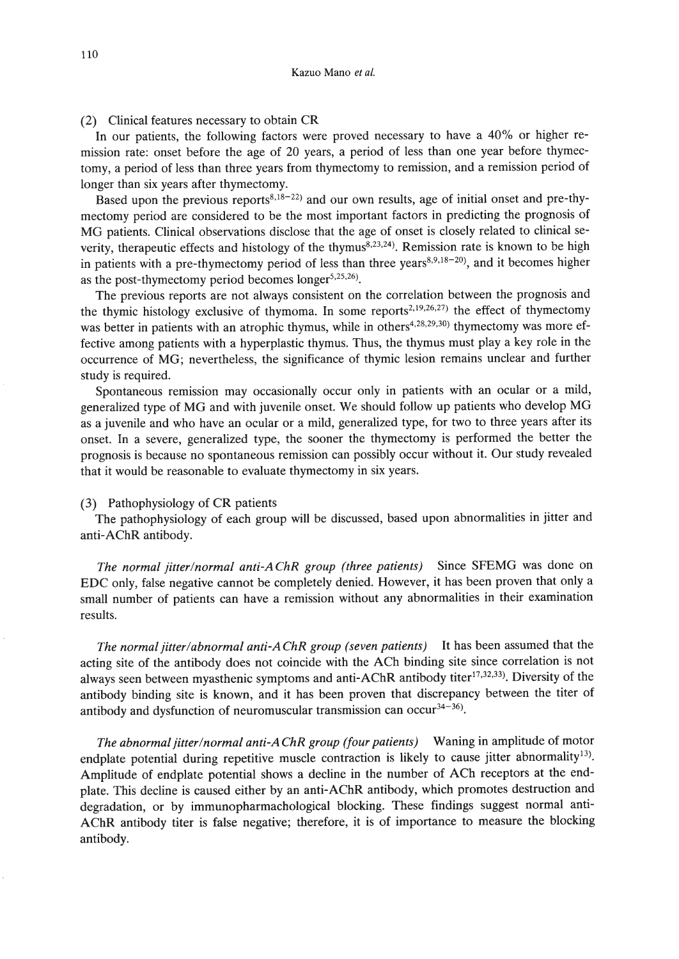(2) Clinical features necessary to obtain CR

In our patients, the following factors were proved necessary to have a 40% or higher remission rate: onset before the age of 20 years, a period of less than one year before thymectomy, a period of less than three years from thymectomy to remission, and a remission period of longer than six years after thymectomy.

Based upon the previous reports<sup>8,18-22</sup> and our own results, age of initial onset and pre-thymectomy period are considered to be the most important factors in predicting the prognosis of MG patients. Clinical observations disclose that the age of onset is closely related to clinical severity, therapeutic effects and histology of the thymus<sup>8,23,24</sup>). Remission rate is known to be high in patients with a pre-thymectomy period of less than three years<sup>8,9,18-20</sup>), and it becomes higher as the post-thymectomy period becomes longer<sup>5,25,26</sup>).

The previous reports are not always consistent on the correlation between the prognosis and the thymic histology exclusive of thymoma. In some reports<sup>2,19,26,27)</sup> the effect of thymectomy was better in patients with an atrophic thymus, while in others<sup>4,28,29,30</sup>) thymectomy was more effective among patients with a hyperplastic thymus. Thus, the thymus must playa key role in the occurrence of MG; nevertheless, the significance of thymic lesion remains unclear and further study is required.

Spontaneous remission may occasionally occur only in patients with an ocular or a mild, generalized type of MG and with juvenile onset. We should follow up patients who develop MG as a juvenile and who have an ocular or a mild, generalized type, for two to three years after its onset. In a severe, generalized type, the sooner the thymectomy is performed the better the prognosis is because no spontaneous remission can possibly occur without it. Our study revealed that it would be reasonable to evaluate thymectomy in six years.

#### (3) Pathophysiology of CR patients

The pathophysiology of each group will be discussed, based upon abnormalities in jitter and anti-AChR antibody.

*The normal jitter/normal anti-AChR group (three patients)* Since SFEMG was done on EDC only, false negative cannot be completely denied. However, it has been proven that only a small number of patients can have a remission without any abnormalities in their examination results.

*The normal jitter/abnormal anti-A ChR group (seven patients)* It has been assumed that the acting site of the antibody does not coincide with the ACh binding site since correlation is not always seen between myasthenic symptoms and anti-AChR antibody titer<sup>17,32,33</sup>). Diversity of the antibody binding site is known, and it has been proven that discrepancy between the titer of antibody and dysfunction of neuromuscular transmission can occur<sup>34-36</sup>).

*The abnormal jitter/normal anti-A ChR group (four patients)* Waning in amplitude of motor endplate potential during repetitive muscle contraction is likely to cause jitter abnormality<sup>13)</sup>. Amplitude of endplate potential shows a decline in the number of ACh receptors at the endplate. This decline is caused either by an anti-AChR antibody, which promotes destruction and degradation, or by immunopharmachological blocking. These findings suggest normal anti-AChR antibody titer is false negative; therefore, it is of importance to measure the blocking antibody.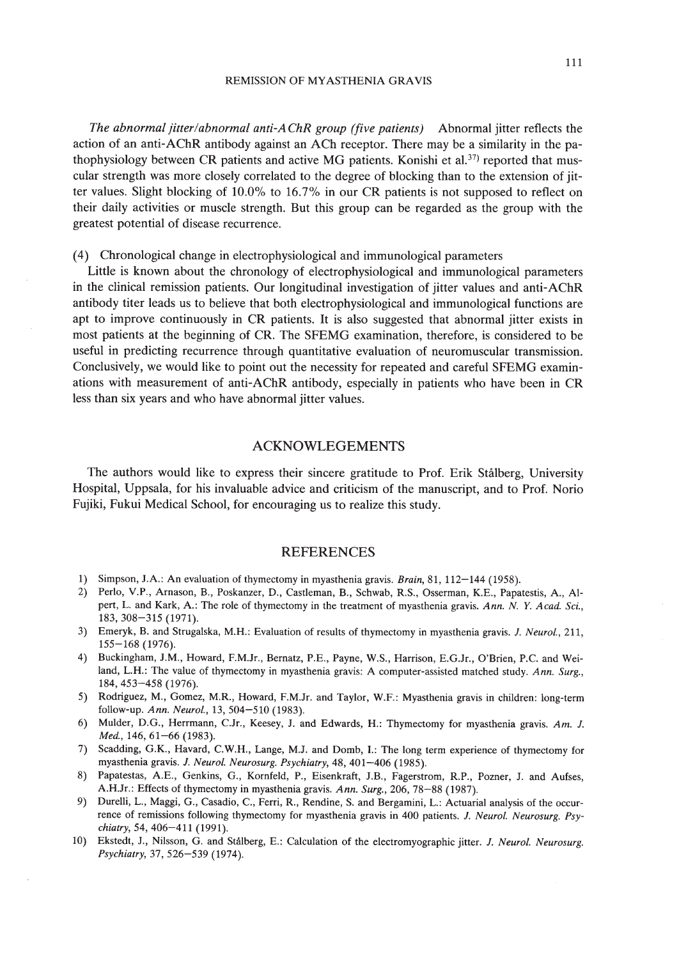#### REMISSION OF MYASTHENIA GRAVIS

*The abnormal jitter/abnormal anti-AChR group (five patients)* Abnormal jitter reflects the action of an anti-AChR antibody against an ACh receptor. There may be a similarity in the pathophysiology between CR patients and active MG patients. Konishi et al.<sup>37)</sup> reported that muscular strength was more closely correlated to the degree of blocking than to the extension of jitter values. Slight blocking of 10.0% to 16.7% in our CR patients is not supposed to reflect on their daily activities or muscle strength. But this group can be regarded as the group with the greatest potential of disease recurrence.

# (4) Chronological change in electrophysiological and immunological parameters

Little is known about the chronology of electrophysiological and immunological parameters in the clinical remission patients. Our longitudinal investigation of jitter values and anti-AChR antibody titer leads us to believe that both electrophysiological and immunological functions are apt to improve continuously in CR patients. It is also suggested that abnormal jitter exists in most patients at the beginning of CR. The SFEMG examination, therefore, is considered to be useful in predicting recurrence through quantitative evaluation of neuromuscular transmission. Conclusively, we would like to point out the necessity for repeated and careful SFEMG examinations with measurement of anti-AChR antibody, especially in patients who have been in CR less than six years and who have abnormal jitter values.

## ACKNOWLEGEMENTS

The authors would like to express their sincere gratitude to Prof. Erik Staiberg, University Hospital, Uppsala, for his invaluable advice and criticism of the manuscript, and to Prof. Norio Fujiki, Fukui Medical School, for encouraging us to realize this study.

## REFERENCES

- 1) Simpson, J.A.: An evaluation of thymectomy in myasthenia gravis. *Brain,* 81, 112-144 (1958).
- 2) Perlo, V.P., Amason, B., Poskanzer, D., Castleman, B., Schwab, RS., Osserman, K.E., Papatestis, A., Alpert, L. and Kark, *A.:* The role of thymectomy in the treatment of myasthenia gravis. *Ann.* N. Y. *A cad.* Sci., 183,308-315 (1971).
- 3) Emeryk, B. and Strugalska, M.H.: Evaluation of results of thymectomy in myasthenia gravis. J. *Neurol., 211,* 155-168 (1976).
- 4) Buckingham, J.M., Howard, F.MJr., Bernatz, P.E., Payne, W.S., Harrison, E.GJr., O'Brien, P.c. and Weiland, L.H.: The value of thymectomy in myasthenia gravis: A computer-assisted matched study. *Ann. Surg.,* 184,453-458 (1976).
- 5) Rodriguez, M., Gomez, M.R., Howard, F.MJr. and Taylor, W.F.: Myasthenia gravis in children: long-term follow-up. *Ann. Neurol.,* 13,504-510 (1983).
- 6) Mulder, D.G., Herrmann, CJr., Keesey, J. and Edwards, H.: Thymectomy for myasthenia gravis. *Am.* J. *Med.,* 146, 61-66 (1983).
- 7) Scadding, G.K., Havard, C.W.H., Lange, M.J. and Domb, I.: The long term experience of thymectomy for myasthenia gravis. 1. *Neurol. Neurosurg. Psychiatry,* 48, 401-406 (1985).
- 8) Papatestas, A.E., Genkins, G., Kornfeld, P., Eisenkraft, J.B., Fagerstrom, RP., Pozner, J. and Aufses, A.H.Jr.: Effects of thymectomy in myasthenia gravis. *Ann. Surg.,* 206, 78-88 (1987).
- 9) Durelli, L., Maggi, G., Casadio, C., Ferri, R., Rendine, S. and Bergamini, L.: Actuarial analysis of the occurrence of remissions following thymectomy for myasthenia gravis in 400 patients. J. *Neurol. Neurosurg. Psychiatry,* 54, 406-411 (1991).
- 10) Ekstedt, J., Nilsson, G. and Stålberg, E.: Calculation of the electromyographic jitter. J. Neurol. Neurosurg. *Psychiatry,* 37, 526-539 (1974).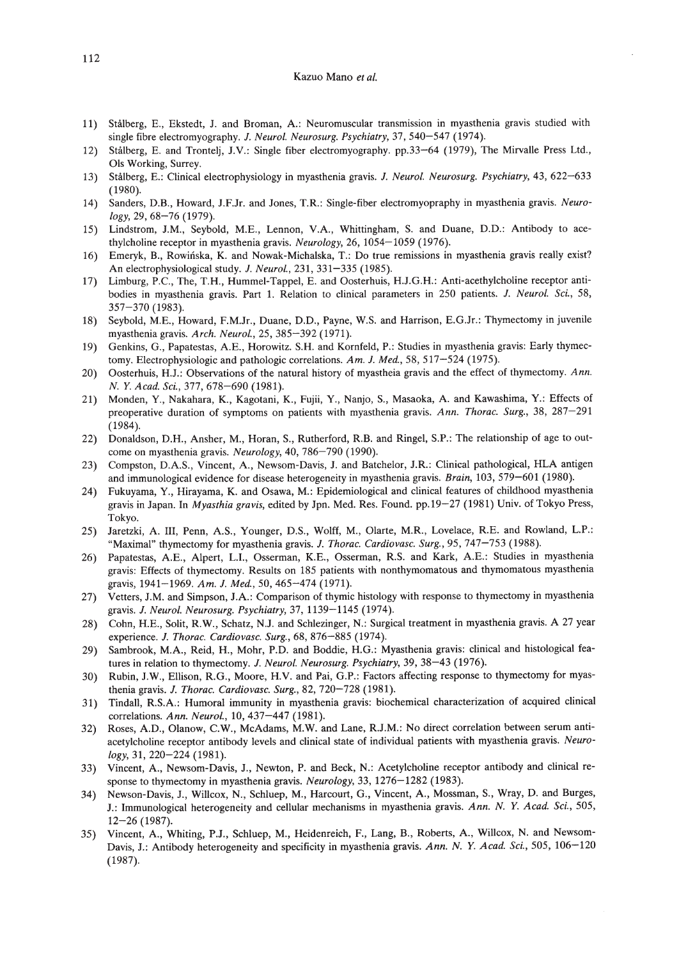#### Kazuo Mano *et al.*

- 11) Stalberg, E., Ekstedt, J. and Broman, A: Neuromuscular transmission in myasthenia gravis studied with single fibre electromyography. J. *Neurol. Neurasurg. Psychiatry,* 37, 540-547 (1974).
- 12) Stalberg, E. and Trontelj, J.V.: Single fiber electromyography. pp.33-64 (1979), The Mirvalle Press Ltd., Ols Working, Surrey.
- 13) Stalberg, E.: Clinical electrophysiology in myasthenia gravis. J. *Neural. Neurosurg. Psychiatry,* 43, 622-633 (1980).
- 14) Sanders, 0.8., Howard, J.F.Jr. and Jones, T.R: Single-fiber electromyopraphy in myasthenia gravis. *Neurology,* 29, 68-76 (1979).
- 15) Lindstrom, J.M., Seybold, M.E., Lennon, V.A, Whittingham, S. and Duane, D.O.: Antibody to acethylcholine receptor in myasthenia gravis. *Neurology,* 26,1054-1059 (1976).
- 16) Emeryk, 8., Rowinska, K. and Nowak-Michalska, T.: Do true remissions in myasthenia gravis really exist? An electrophysiological study. J. *Neurol.,* 231, 331-335 (1985).
- 17) Limburg, P.C., The, T.H., Hummel-Tappel, E. and Oosterhuis, H.J.G.H.: Anti-acethylcholine receptor antibodies in myasthenia gravis. Part 1. Relation to clinical parameters in 250 patients. J. *Neurol. Sci., 58,* 357-370 (1983).
- 18) Seybold, M.E., Howard, F.M.Jr., Duane, D.O., Payne, W.S. and Harrison, E.G.Jr.: Thymectomy in juvenile myasthenia gravis. *Arch. Neurol.,* 25, 385-392 (1971).
- 19) Genkins, G., Papatestas, A.E., Horowitz. S.H. and Kornfeld, P.: Studies in myasthenia gravis: Early thymectomy. Electrophysiologic and pathologic correlations. *Am.* J. *Med.,* 58, 517-524 (1975).
- 20) Oosterhuis, H.J.: Observations of the natural history of myastheia gravis and the effect of thymectomy. *Ann. N.* Y. *Acad. Sci.,* 377,678-690 (1981).
- 21) Monden, Y, Nakahara, K., Kagotani, K., Fujii, Y., Nanjo, S., Masaoka, A and Kawashima, Y: Effects of preoperative duration of symptoms on patients with myasthenia gravis. *Ann. Thome. Surg.,* 38, 287-291 (1984).
- 22) Donaldson, D.H., Ansher, M., Horan, S., Rutherford, R.B. and Ringel, S.P.: The relationship of age to outcome on myasthenia gravis. *Neurology,* 40, 786-790 (1990).
- 23) Compston, D.AS., Vincent, A, Newsom-Davis, J. and Batchelor, J.R: Clinical pathological, HLA antigen and immunological evidence for disease heterogeneity in myasthenia gravis. *Brain*, 103, 579-601 (1980).
- 24) Fukuyama, Y., Hirayama, K. and Osawa, M.: Epidemiological and clinical features of childhood myasthenia gravis in Japan. In *Myasthia gravis,* edited by Jpn. Med. Res. Found. pp.19-27 (1981) Univ. of Tokyo Press, Tokyo.
- 25) Jaretzki, A. III, Penn, AS., Younger, D.S., Wolff, M., Olarte, M.R., Lovelace, R.E. and Rowland, L.P.: "Maximal" thymectomy for myasthenia gravis. J. *Thome. Cardiovasc. Surg.,* 95, 747-753 (1988).
- 26) Papatestas, AE., Alpert, L.I., Osserman, K.E., Osserman, R.S. and Kark, AE.: Studies in myasthenia gravis: Effects of thymectomy. Results on 185 patients with nonthymomatous and thymomatous myasthenia gravis, 1941-1969. *Am.* J. *Med.,* 50, 465-474 (1971).
- 27) Vetters, J.M. and Simpson, J.A.: Comparison of thymic histology with response to thymectomy in myasthenia gravis. J. *Neurol. Neurosurg. Psychiatry,* 37,1139-1145 (1974).
- 28) Cohn, H.E., Solit, RW., Schatz, N.J. and Schlezinger, N.: Surgical treatment in myasthenia gravis. A 27 year experience. J. *Thome. Cardiovasc. Surg.,* 68,876-885 (1974).
- 29) Sambrook, M.A., Reid, H., Mohr, P.O. and Boddie, H.G.: Myasthenia gravis: clinical and histological features in relation to thymectomy. J. *Neurol. Neurosurg. Psychiatry,* 39, 38-43 (1976).
- 30) Rubin, J.W., Ellison, R.G., Moore, H.V. and Pai, G.P.: Factors affecting response to thymectomy for myasthenia gravis. J. *Thome. Cardiovasc. Surg.,* 82, 720-728 (1981).
- 31) Tindall, R.S.A.: Humoral immunity in myasthenia gravis: biochemical characterization of acquired clinical correlations. *Ann. Neural.,* 10,437-447 (1981).
- 32) Roses, A.D., Olanow, C.W., McAdams, M.W. and Lane, R.J.M.: No direct correlation between serum antiacetylcholine receptor antibody levels and clinical state of individual patients with myasthenia gravis. *Neurology,* 31,220-224 (1981).
- 33) Vincent, A., Newsom-Davis, J., Newton, P. and Beck, N.: Acetylcholine receptor antibody and clinical response to thymectomy in myasthenia gravis. *Neurology,* 33,1276-1282 (1983).
- 34) Newson-Davis, J., Willcox, N., Schluep, M., Harcourt, G., Vincent, A, Mossman, S., Wray, D. and Burges, J.: Immunological heterogeneity and cellular mechanisms in myasthenia gravis. *Ann. N.* Y. *A cad. Sci., 505,* 12-26 (1987).
- 35) Vincent, A, Whiting, P.J., Schluep, M., Heidenreich, F., Lang, B., Roberts, A., Willcox, N. and Newsom-Davis, J.: Antibody heterogeneity and specificity in myasthenia gravis. *Ann. N.* Y. *A cad. Sci.,* 505, 106-120 (1987).